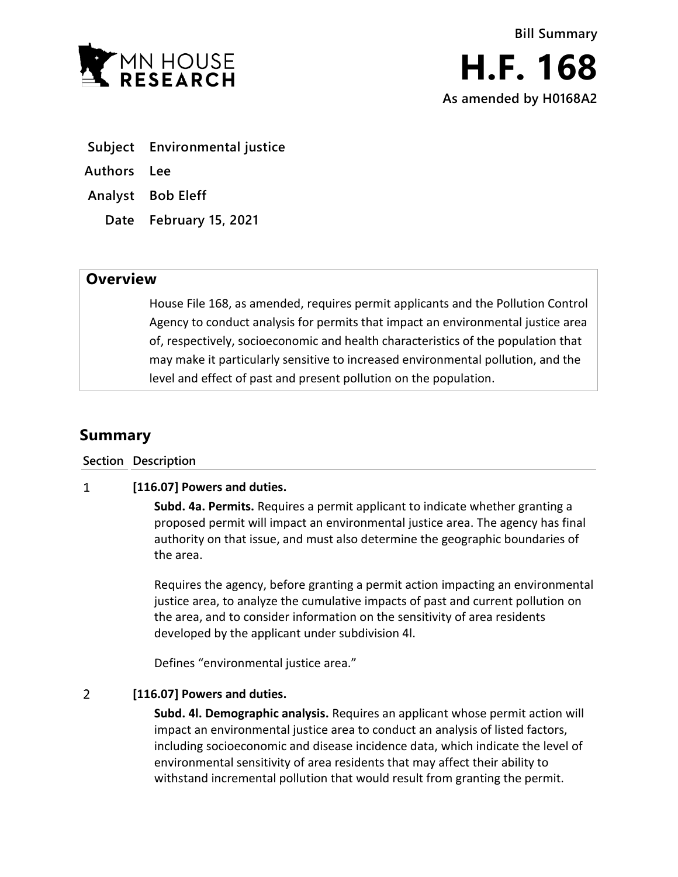

- **Subject Environmental justice**
- **Authors Lee**
- **Analyst Bob Eleff**
	- **Date February 15, 2021**

## **Overview**

House File 168, as amended, requires permit applicants and the Pollution Control Agency to conduct analysis for permits that impact an environmental justice area of, respectively, socioeconomic and health characteristics of the population that may make it particularly sensitive to increased environmental pollution, and the level and effect of past and present pollution on the population.

# **Summary**

**Section Description**

#### $\mathbf{1}$ **[116.07] Powers and duties.**

**Subd. 4a. Permits.** Requires a permit applicant to indicate whether granting a proposed permit will impact an environmental justice area. The agency has final authority on that issue, and must also determine the geographic boundaries of the area.

Requires the agency, before granting a permit action impacting an environmental justice area, to analyze the cumulative impacts of past and current pollution on the area, and to consider information on the sensitivity of area residents developed by the applicant under subdivision 4l.

Defines "environmental justice area."

#### $\overline{2}$ **[116.07] Powers and duties.**

**Subd. 4l. Demographic analysis.** Requires an applicant whose permit action will impact an environmental justice area to conduct an analysis of listed factors, including socioeconomic and disease incidence data, which indicate the level of environmental sensitivity of area residents that may affect their ability to withstand incremental pollution that would result from granting the permit.